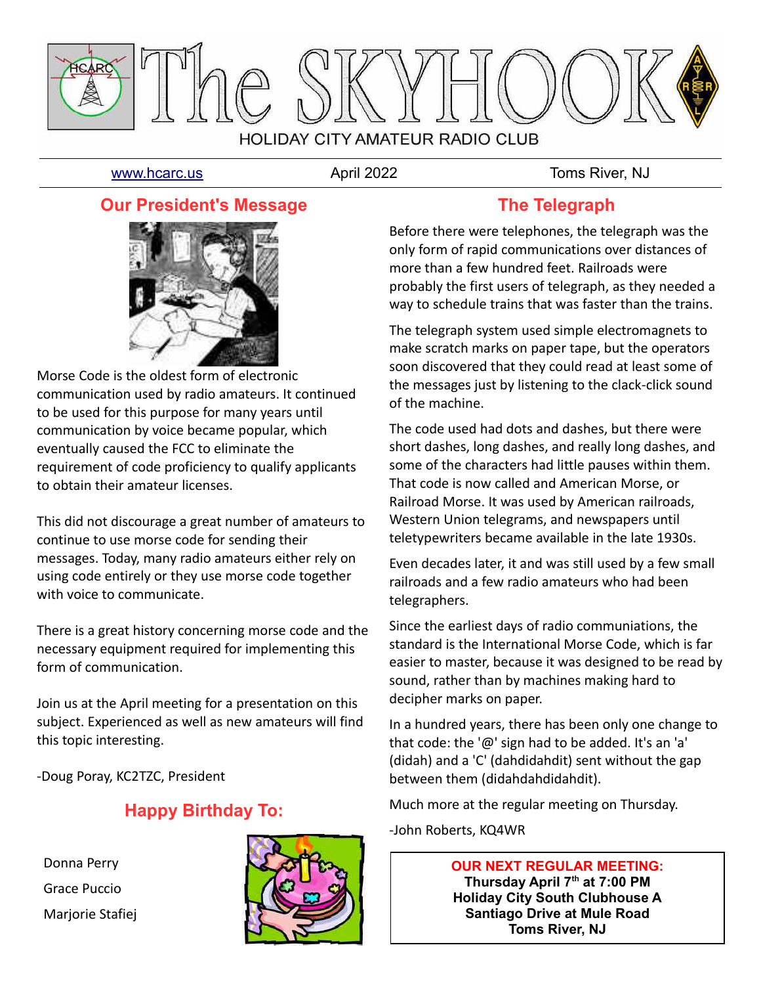

[www.hcarc.us](http://www.hcarc.us/) **April 2022** Toms River. NJ

#### **Our President's Message**



Morse Code is the oldest form of electronic communication used by radio amateurs. It continued to be used for this purpose for many years until communication by voice became popular, which eventually caused the FCC to eliminate the requirement of code proficiency to qualify applicants to obtain their amateur licenses.

This did not discourage a great number of amateurs to continue to use morse code for sending their messages. Today, many radio amateurs either rely on using code entirely or they use morse code together with voice to communicate.

There is a great history concerning morse code and the necessary equipment required for implementing this form of communication.

Join us at the April meeting for a presentation on this subject. Experienced as well as new amateurs will find this topic interesting.

-Doug Poray, KC2TZC, President

# **Happy Birthday To:**

 Donna Perry Grace Puccio Marjorie Stafiej



## **The Telegraph**

Before there were telephones, the telegraph was the only form of rapid communications over distances of more than a few hundred feet. Railroads were probably the first users of telegraph, as they needed a way to schedule trains that was faster than the trains.

The telegraph system used simple electromagnets to make scratch marks on paper tape, but the operators soon discovered that they could read at least some of the messages just by listening to the clack-click sound of the machine.

The code used had dots and dashes, but there were short dashes, long dashes, and really long dashes, and some of the characters had little pauses within them. That code is now called and American Morse, or Railroad Morse. It was used by American railroads, Western Union telegrams, and newspapers until teletypewriters became available in the late 1930s.

Even decades later, it and was still used by a few small railroads and a few radio amateurs who had been telegraphers.

Since the earliest days of radio communiations, the standard is the International Morse Code, which is far easier to master, because it was designed to be read by sound, rather than by machines making hard to decipher marks on paper.

In a hundred years, there has been only one change to that code: the '@' sign had to be added. It's an 'a' (didah) and a 'C' (dahdidahdit) sent without the gap between them (didahdahdidahdit).

Much more at the regular meeting on Thursday.

-John Roberts, KQ4WR

**OUR NEXT REGULAR MEETING: Thursday April 7th at 7:00 PM Holiday City South Clubhouse A Santiago Drive at Mule Road Toms River, NJ**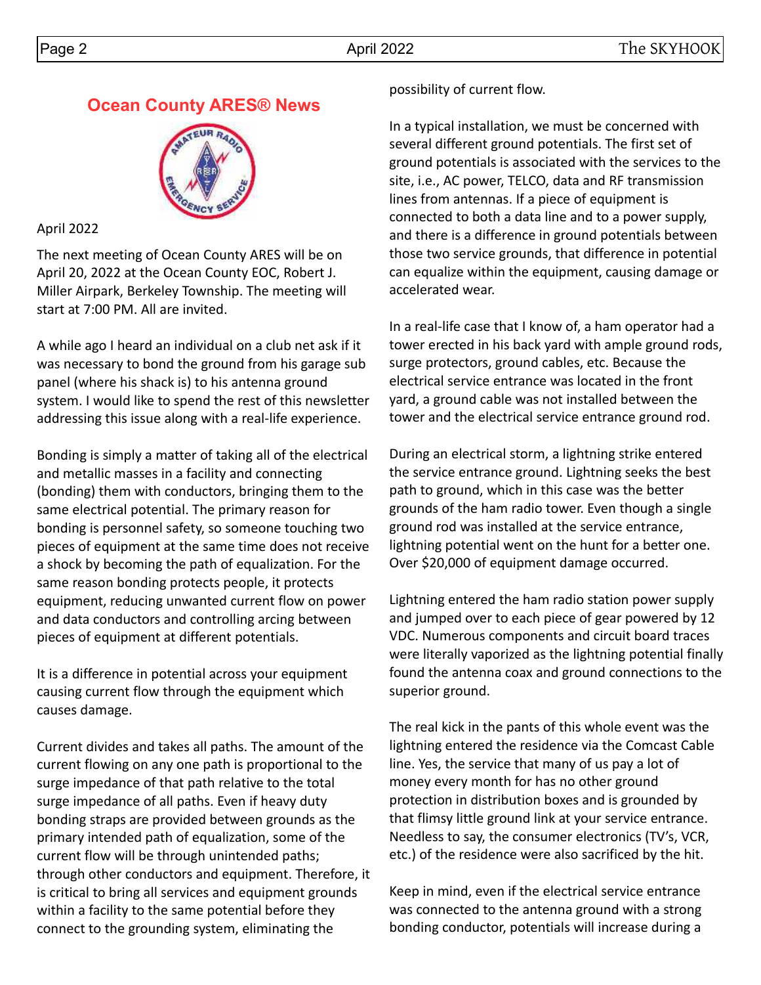# **Ocean County ARES® News**



April 2022

The next meeting of Ocean County ARES will be on April 20, 2022 at the Ocean County EOC, Robert J. Miller Airpark, Berkeley Township. The meeting will start at 7:00 PM. All are invited.

A while ago I heard an individual on a club net ask if it was necessary to bond the ground from his garage sub panel (where his shack is) to his antenna ground system. I would like to spend the rest of this newsletter addressing this issue along with a real-life experience.

Bonding is simply a matter of taking all of the electrical and metallic masses in a facility and connecting (bonding) them with conductors, bringing them to the same electrical potential. The primary reason for bonding is personnel safety, so someone touching two pieces of equipment at the same time does not receive a shock by becoming the path of equalization. For the same reason bonding protects people, it protects equipment, reducing unwanted current flow on power and data conductors and controlling arcing between pieces of equipment at different potentials.

It is a difference in potential across your equipment causing current flow through the equipment which causes damage.

Current divides and takes all paths. The amount of the current flowing on any one path is proportional to the surge impedance of that path relative to the total surge impedance of all paths. Even if heavy duty bonding straps are provided between grounds as the primary intended path of equalization, some of the current flow will be through unintended paths; through other conductors and equipment. Therefore, it is critical to bring all services and equipment grounds within a facility to the same potential before they connect to the grounding system, eliminating the

#### possibility of current flow.

In a typical installation, we must be concerned with several different ground potentials. The first set of ground potentials is associated with the services to the site, i.e., AC power, TELCO, data and RF transmission lines from antennas. If a piece of equipment is connected to both a data line and to a power supply, and there is a difference in ground potentials between those two service grounds, that difference in potential can equalize within the equipment, causing damage or accelerated wear.

In a real-life case that I know of, a ham operator had a tower erected in his back yard with ample ground rods, surge protectors, ground cables, etc. Because the electrical service entrance was located in the front yard, a ground cable was not installed between the tower and the electrical service entrance ground rod.

During an electrical storm, a lightning strike entered the service entrance ground. Lightning seeks the best path to ground, which in this case was the better grounds of the ham radio tower. Even though a single ground rod was installed at the service entrance, lightning potential went on the hunt for a better one. Over \$20,000 of equipment damage occurred.

Lightning entered the ham radio station power supply and jumped over to each piece of gear powered by 12 VDC. Numerous components and circuit board traces were literally vaporized as the lightning potential finally found the antenna coax and ground connections to the superior ground.

The real kick in the pants of this whole event was the lightning entered the residence via the Comcast Cable line. Yes, the service that many of us pay a lot of money every month for has no other ground protection in distribution boxes and is grounded by that flimsy little ground link at your service entrance. Needless to say, the consumer electronics (TV's, VCR, etc.) of the residence were also sacrificed by the hit.

Keep in mind, even if the electrical service entrance was connected to the antenna ground with a strong bonding conductor, potentials will increase during a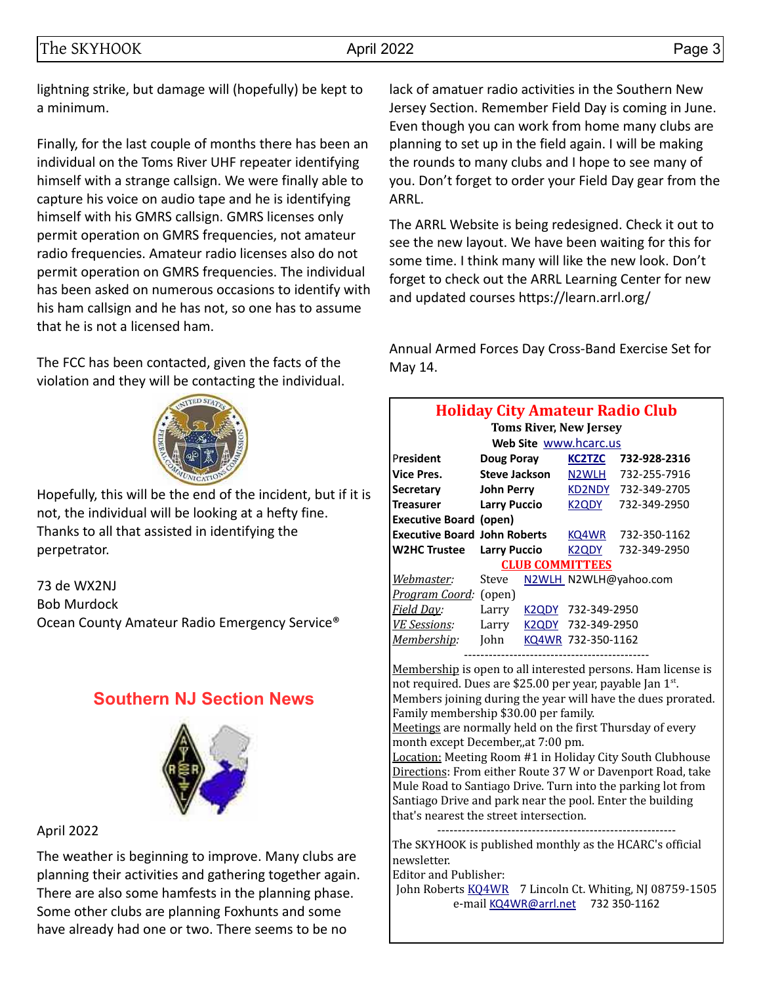lightning strike, but damage will (hopefully) be kept to a minimum.

Finally, for the last couple of months there has been an individual on the Toms River UHF repeater identifying himself with a strange callsign. We were finally able to capture his voice on audio tape and he is identifying himself with his GMRS callsign. GMRS licenses only permit operation on GMRS frequencies, not amateur radio frequencies. Amateur radio licenses also do not permit operation on GMRS frequencies. The individual has been asked on numerous occasions to identify with his ham callsign and he has not, so one has to assume that he is not a licensed ham.

The FCC has been contacted, given the facts of the violation and they will be contacting the individual.



Hopefully, this will be the end of the incident, but if it is not, the individual will be looking at a hefty fine. Thanks to all that assisted in identifying the perpetrator.

73 de WX2NJ Bob Murdock Ocean County Amateur Radio Emergency Service®

# **Southern NJ Section News**



#### April 2022

The weather is beginning to improve. Many clubs are planning their activities and gathering together again. There are also some hamfests in the planning phase. Some other clubs are planning Foxhunts and some have already had one or two. There seems to be no

lack of amatuer radio activities in the Southern New Jersey Section. Remember Field Day is coming in June. Even though you can work from home many clubs are planning to set up in the field again. I will be making the rounds to many clubs and I hope to see many of you. Don't forget to order your Field Day gear from the ARRL.

The ARRL Website is being redesigned. Check it out to see the new layout. We have been waiting for this for some time. I think many will like the new look. Don't forget to check out the ARRL Learning Center for new and updated courses https://learn.arrl.org/

Annual Armed Forces Day Cross-Band Exercise Set for May 14.

| <b>Holiday City Amateur Radio Club</b><br><b>Toms River, New Jersey</b> |                                                              |                     |                                 |                       |  |  |  |  |  |  |
|-------------------------------------------------------------------------|--------------------------------------------------------------|---------------------|---------------------------------|-----------------------|--|--|--|--|--|--|
| Web Site www.hcarc.us                                                   |                                                              |                     |                                 |                       |  |  |  |  |  |  |
| President                                                               | Doug Poray                                                   |                     | <b>KC2TZC</b>                   | 732-928-2316          |  |  |  |  |  |  |
| <b>Vice Pres.</b>                                                       | Steve Jackson                                                |                     | N2WLH                           | 732-255-7916          |  |  |  |  |  |  |
| <b>Secretary</b>                                                        | John Perry                                                   |                     | KD2NDY                          | 732-349-2705          |  |  |  |  |  |  |
| Treasurer                                                               | <b>Larry Puccio</b>                                          |                     | K <sub>2</sub> Q <sub>D</sub> Y | 732-349-2950          |  |  |  |  |  |  |
| <b>Executive Board (open)</b>                                           |                                                              |                     |                                 |                       |  |  |  |  |  |  |
|                                                                         | <b>Executive Board John Roberts</b><br>732-350-1162<br>KQ4WR |                     |                                 |                       |  |  |  |  |  |  |
| <b>W2HC Trustee</b>                                                     |                                                              | <b>Larry Puccio</b> |                                 | 732-349-2950          |  |  |  |  |  |  |
|                                                                         |                                                              |                     | <b>CLUB COMMITTEES</b>          |                       |  |  |  |  |  |  |
| <u>Webmaster</u> :                                                      | Steve                                                        |                     |                                 | N2WLH_N2WLH@yahoo.com |  |  |  |  |  |  |
| <i>Program Coord:</i> (open)                                            |                                                              |                     |                                 |                       |  |  |  |  |  |  |
| <b>Field Day:</b>                                                       | Larry                                                        | K2QDY               | 732-349-2950                    |                       |  |  |  |  |  |  |
| VE Sessions:                                                            | Larry                                                        | K <sub>2</sub> QDY  | 732-349-2950                    |                       |  |  |  |  |  |  |
| <u>Membership</u> :                                                     | John                                                         |                     | KQ4WR 732-350-1162              |                       |  |  |  |  |  |  |
|                                                                         |                                                              |                     |                                 |                       |  |  |  |  |  |  |

Membership is open to all interested persons. Ham license is not required. Dues are \$25.00 per year, payable Jan 1st. Members joining during the year will have the dues prorated. Family membership \$30.00 per family.

Meetings are normally held on the first Thursday of every month except December,,at 7:00 pm.

Location: Meeting Room #1 in Holiday City South Clubhouse Directions: From either Route 37 W or Davenport Road, take Mule Road to Santiago Drive. Turn into the parking lot from Santiago Drive and park near the pool. Enter the building that's nearest the street intersection.

---------------------------------------------------------- The SKYHOOK is published monthly as the HCARC's official newsletter.

Editor and Publisher:

John Roberts [KQ4WR](mailto:kq4wr@arrl.net) 7 Lincoln Ct. Whiting, NJ 08759-1505 e-mail [KQ4WR@arrl.net](mailto:KQ4WR@arrl.net) 732 350-1162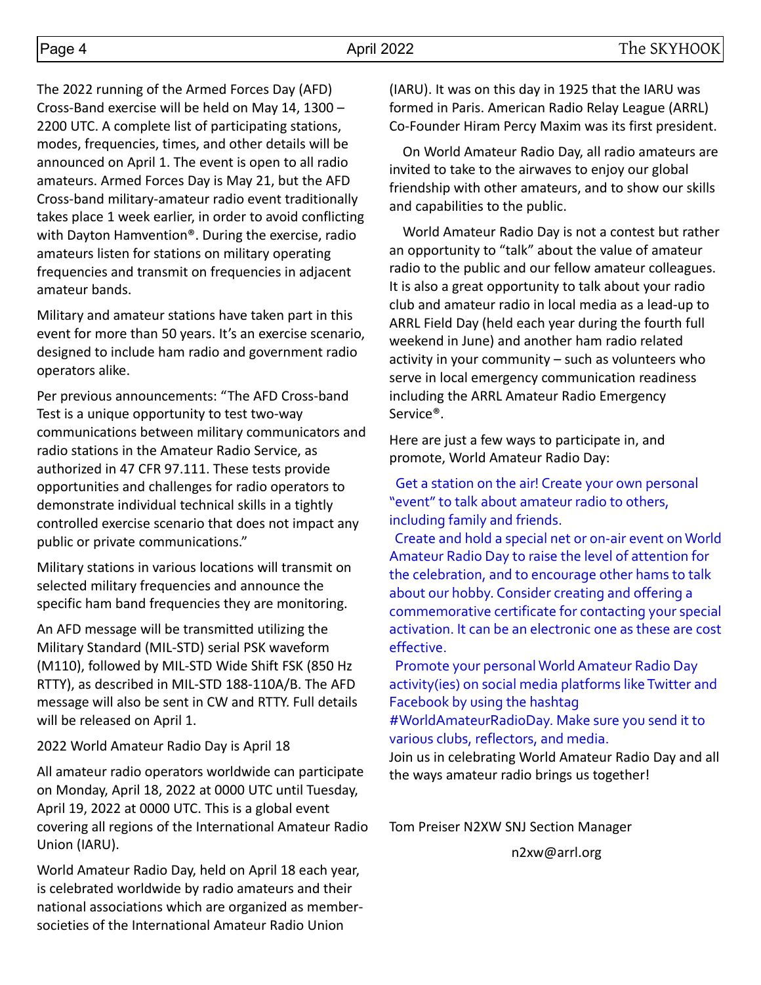The 2022 running of the Armed Forces Day (AFD) Cross-Band exercise will be held on May 14, 1300 – 2200 UTC. A complete list of participating stations, modes, frequencies, times, and other details will be announced on April 1. The event is open to all radio amateurs. Armed Forces Day is May 21, but the AFD Cross-band military-amateur radio event traditionally takes place 1 week earlier, in order to avoid conflicting with Dayton Hamvention®. During the exercise, radio amateurs listen for stations on military operating frequencies and transmit on frequencies in adjacent amateur bands.

Military and amateur stations have taken part in this event for more than 50 years. It's an exercise scenario, designed to include ham radio and government radio operators alike.

Per previous announcements: "The AFD Cross-band Test is a unique opportunity to test two-way communications between military communicators and radio stations in the Amateur Radio Service, as authorized in 47 CFR 97.111. These tests provide opportunities and challenges for radio operators to demonstrate individual technical skills in a tightly controlled exercise scenario that does not impact any public or private communications."

Military stations in various locations will transmit on selected military frequencies and announce the specific ham band frequencies they are monitoring.

An AFD message will be transmitted utilizing the Military Standard (MIL-STD) serial PSK waveform (M110), followed by MIL-STD Wide Shift FSK (850 Hz RTTY), as described in MIL-STD 188-110A/B. The AFD message will also be sent in CW and RTTY. Full details will be released on April 1.

2022 World Amateur Radio Day is April 18

All amateur radio operators worldwide can participate on Monday, April 18, 2022 at 0000 UTC until Tuesday, April 19, 2022 at 0000 UTC. This is a global event covering all regions of the International Amateur Radio Union (IARU).

World Amateur Radio Day, held on April 18 each year, is celebrated worldwide by radio amateurs and their national associations which are organized as membersocieties of the International Amateur Radio Union

(IARU). It was on this day in 1925 that the IARU was formed in Paris. American Radio Relay League (ARRL) Co-Founder Hiram Percy Maxim was its first president.

 On World Amateur Radio Day, all radio amateurs are invited to take to the airwaves to enjoy our global friendship with other amateurs, and to show our skills and capabilities to the public.

 World Amateur Radio Day is not a contest but rather an opportunity to "talk" about the value of amateur radio to the public and our fellow amateur colleagues. It is also a great opportunity to talk about your radio club and amateur radio in local media as a lead-up to ARRL Field Day (held each year during the fourth full weekend in June) and another ham radio related activity in your community – such as volunteers who serve in local emergency communication readiness including the ARRL Amateur Radio Emergency Service®.

Here are just a few ways to participate in, and promote, World Amateur Radio Day:

 Get a station on the air! Create your own personal "event" to talk about amateur radio to others, including family and friends.

 Create and hold a special net or on-air event on World Amateur Radio Day to raise the level of attention for the celebration, and to encourage other hams to talk about our hobby. Consider creating and offering a commemorative certificate for contacting your special activation. It can be an electronic one as these are cost effective.

 Promote your personal World Amateur Radio Day activity(ies) on social media platforms like Twitter and Facebook by using the hashtag

#WorldAmateurRadioDay. Make sure you send it to various clubs, reflectors, and media.

Join us in celebrating World Amateur Radio Day and all the ways amateur radio brings us together!

Tom Preiser N2XW SNJ Section Manager

n2xw@arrl.org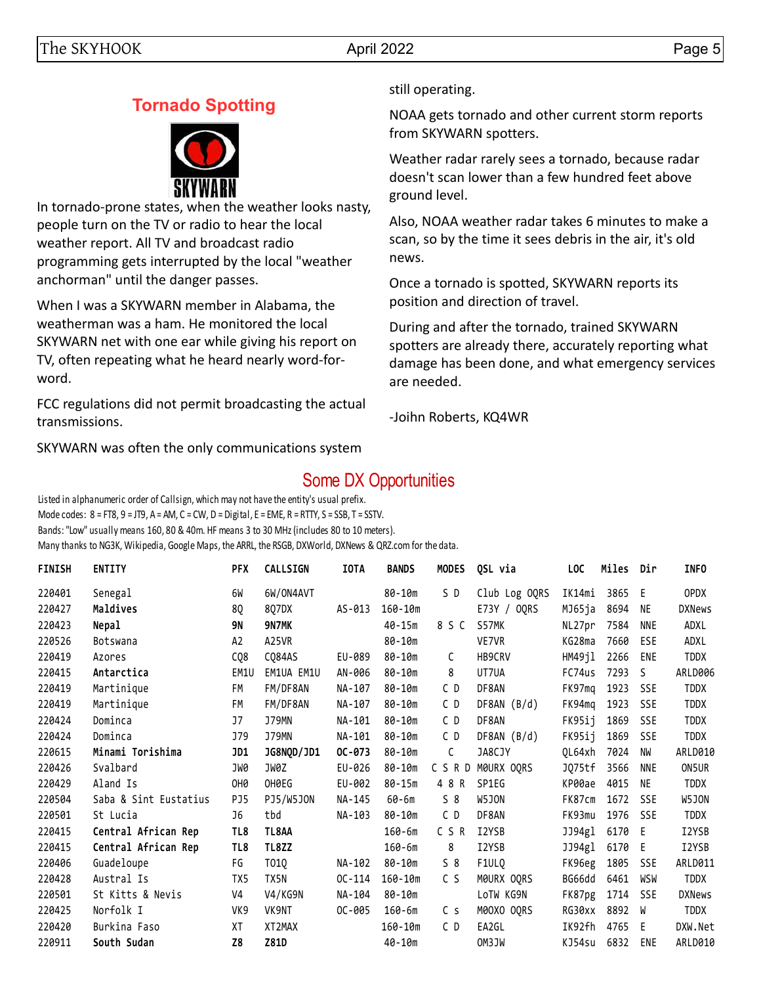# **Tornado Spotting**



In tornado-prone states, when the weather looks nasty, people turn on the TV or radio to hear the local weather report. All TV and broadcast radio programming gets interrupted by the local "weather anchorman" until the danger passes.

When I was a SKYWARN member in Alabama, the weatherman was a ham. He monitored the local SKYWARN net with one ear while giving his report on TV, often repeating what he heard nearly word-forword.

FCC regulations did not permit broadcasting the actual transmissions.

SKYWARN was often the only communications system

still operating.

NOAA gets tornado and other current storm reports from SKYWARN spotters.

Weather radar rarely sees a tornado, because radar doesn't scan lower than a few hundred feet above ground level.

Also, NOAA weather radar takes 6 minutes to make a scan, so by the time it sees debris in the air, it's old news.

Once a tornado is spotted, SKYWARN reports its position and direction of travel.

During and after the tornado, trained SKYWARN spotters are already there, accurately reporting what damage has been done, and what emergency services are needed.

-Joihn Roberts, KQ4WR

# Some DX Opportunities

Listed in alphanumeric order of Callsign, which may not have the entity's usual prefix. Mode codes:  $8 = FT8$ ,  $9 = JT9$ ,  $A = AM$ ,  $C = CW$ ,  $D = Digital$ ,  $E = EME$ ,  $R = RTTY$ ,  $S = SSB$ ,  $T = SSTV$ . Bands: "Low" usually means 160, 80 & 40m. HF means 3 to 30 MHz (includes 80 to 10 meters). Many thanks to NG3K, Wikipedia, Google Maps, the ARRL, the RSGB, DXWorld, DXNews & QRZ.com for the data.

| <b>FINISH</b> | <b>ENTITY</b>         | PFX             | <b>CALLSIGN</b> | <b>IOTA</b> | <b>BANDS</b> | <b>MODES</b> | QSL via       | LOC    | Miles | Dir        | <b>INFO</b>   |
|---------------|-----------------------|-----------------|-----------------|-------------|--------------|--------------|---------------|--------|-------|------------|---------------|
| 220401        | Senegal               | 6W              | 6W/ON4AVT       |             | $80 - 10m$   | SD           | Club Log OQRS | IK14mi | 3865  | -E         | <b>OPDX</b>   |
| 220427        | Maldives              | 8Q              | 8Q7DX           | AS-013      | $160 - 10m$  |              | E73Y / OORS   | MJ65ja | 8694  | NE         | <b>DXNews</b> |
| 220423        | Nepal                 | <b>9N</b>       | 9N7MK           |             | 40-15m       | 8 S C        | S57MK         | NL27pr | 7584  | <b>NNE</b> | ADXL          |
| 220526        | Botswana              | A <sub>2</sub>  | A25VR           |             | $80 - 10m$   |              | VE7VR         | KG28ma | 7660  | ESE        | ADXL          |
| 220419        | Azores                | CQ8             | CQ84AS          | EU-089      | 80-10m       | $\mathsf{C}$ | HB9CRV        | HM49jl | 2266  | <b>ENE</b> | <b>TDDX</b>   |
| 220415        | Antarctica            | EM1U            | EM1UA EM1U      | AN-006      | 80-10m       | 8            | UT7UA         | FC74us | 7293  | -S         | ARLD006       |
| 220419        | Martinique            | FM              | FM/DF8AN        | NA-107      | 80-10m       | C D          | DF8AN         | FK97mq | 1923  | <b>SSE</b> | <b>TDDX</b>   |
| 220419        | Martinique            | FM              | FM/DF8AN        | NA-107      | 80-10m       | C D          | DF8AN(B/d)    | FK94mg | 1923  | <b>SSE</b> | <b>TDDX</b>   |
| 220424        | Dominca               | J7              | <b>J79MN</b>    | NA-101      | 80-10m       | CD           | DF8AN         | FK95ij | 1869  | <b>SSE</b> | <b>TDDX</b>   |
| 220424        | Dominca               | J79             | <b>J79MN</b>    | NA-101      | $80 - 10m$   | C D          | DF8AN(B/d)    | FK95ij | 1869  | SSE        | <b>TDDX</b>   |
| 220615        | Minami Torishima      | JD1             | JG8NQD/JD1      | $OC-073$    | 80-10m       | C            | JA8CJY        | OL64xh | 7024  | NW         | ARLD010       |
| 220426        | Svalbard              | JW0             | JW0Z            | EU-026      | 80-10m       | CSRD         | MØURX OQRS    | JQ75tf | 3566  | <b>NNE</b> | ON5UR         |
| 220429        | Aland Is              | OH <sub>0</sub> | OH0EG           | EU-002      | $80 - 15m$   | 4 8 R        | SP1EG         | KP00ae | 4015  | NE         | <b>TDDX</b>   |
| 220504        | Saba & Sint Eustatius | PJ5             | PJ5/W5J0N       | NA-145      | 60-6m        | 58           | W5JON         | FK87cm | 1672  | <b>SSE</b> | W5JON         |
| 220501        | St Lucia              | J6              | tbd             | NA-103      | 80-10m       | CD           | DF8AN         | FK93mu | 1976  | <b>SSE</b> | <b>TDDX</b>   |
| 220415        | Central African Rep   | TL8             | TL8AA           |             | $160 - 6m$   | C S R        | I2YSB         | JJ94gl | 6170  | -E         | I2YSB         |
| 220415        | Central African Rep   | TL8             | TL8ZZ           |             | $160 - 6m$   | 8            | I2YSB         | JJ94gl | 6170  | -E         | I2YSB         |
| 220406        | Guadeloupe            | FG              | T01Q            | NA-102      | 80-10m       | $S_8$        | F1ULQ         | FK96eg | 1805  | <b>SSE</b> | ARLD011       |
| 220428        | Austral Is            | TX5             | TX5N            | $OC-114$    | $160 - 10m$  | C S          | MOURX OQRS    | BG66dd | 6461  | WSW        | <b>TDDX</b>   |
| 220501        | St Kitts & Nevis      | V <sub>4</sub>  | V4/KG9N         | NA-104      | 80-10m       |              | LoTW KG9N     | FK87pg | 1714  | <b>SSE</b> | <b>DXNews</b> |
| 220425        | Norfolk I             | VK9             | VK9NT           | OC-005      | $160 - 6m$   | C s          | M00XO OQRS    | RG30xx | 8892  | - W        | <b>TDDX</b>   |
| 220420        | Burkina Faso          | XT              | XT2MAX          |             | $160 - 10m$  | CD           | EA2GL         | IK92fh | 4765  | E          | DXW.Net       |
| 220911        | South Sudan           | Z8              | Z81D            |             | $40 - 10m$   |              | OM3JW         | KJ54su | 6832  | ENE        | ARLD010       |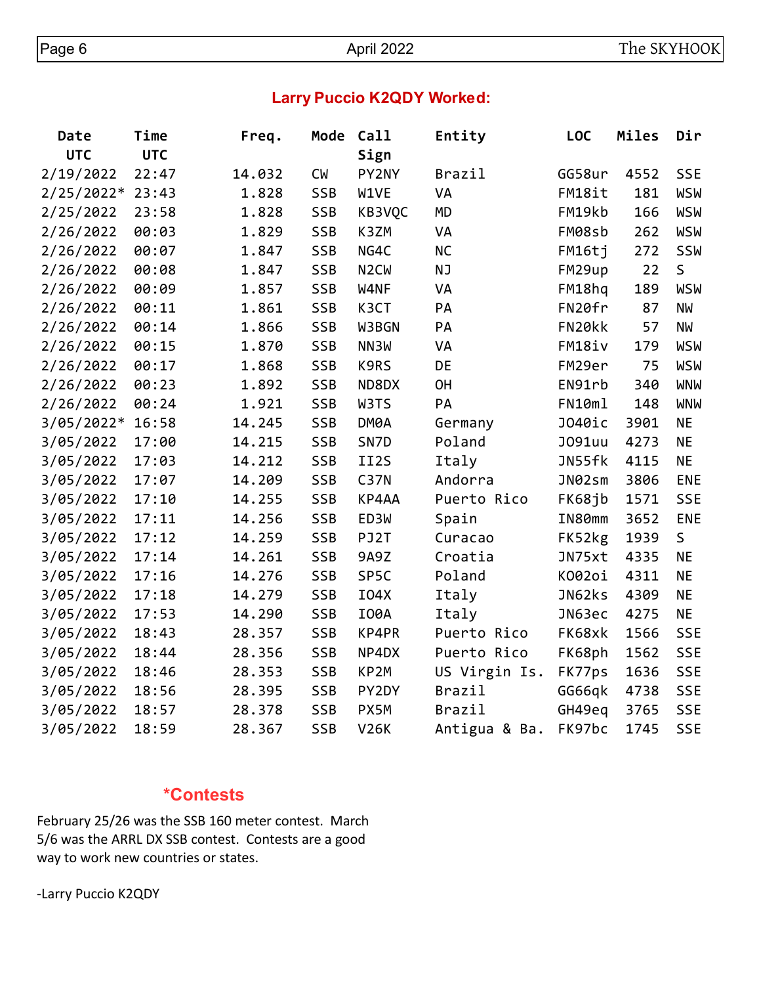# **Larry Puccio K2QDY Worked:**

| Date         | Time       | Freq.  | Mode       | Call                          | Entity        | <b>LOC</b>    | Miles | Dir        |
|--------------|------------|--------|------------|-------------------------------|---------------|---------------|-------|------------|
| <b>UTC</b>   | <b>UTC</b> |        |            | Sign                          |               |               |       |            |
| 2/19/2022    | 22:47      | 14.032 | <b>CW</b>  | PY2NY                         | Brazil        | GG58ur        | 4552  | <b>SSE</b> |
| $2/25/2022*$ | 23:43      | 1.828  | SSB        | W1VE                          | VA            | FM18it        | 181   | <b>WSW</b> |
| 2/25/2022    | 23:58      | 1.828  | SSB        | KB3VQC                        | <b>MD</b>     | FM19kb        | 166   | <b>WSW</b> |
| 2/26/2022    | 00:03      | 1.829  | SSB        | K3ZM                          | VA            | FM08sb        | 262   | <b>WSW</b> |
| 2/26/2022    | 00:07      | 1.847  | <b>SSB</b> | NG4C                          | <b>NC</b>     | FM16tj        | 272   | SSW        |
| 2/26/2022    | 00:08      | 1.847  | SSB        | N <sub>2</sub> C <sub>W</sub> | <b>NJ</b>     | FM29up        | 22    | S          |
| 2/26/2022    | 00:09      | 1.857  | SSB        | W4NF                          | VA            | FM18hq        | 189   | <b>WSW</b> |
| 2/26/2022    | 00:11      | 1.861  | SSB        | K3CT                          | PA            | FN20fr        | 87    | <b>NW</b>  |
| 2/26/2022    | 00:14      | 1.866  | SSB        | W3BGN                         | PA            | FN20kk        | 57    | <b>NW</b>  |
| 2/26/2022    | 00:15      | 1.870  | SSB        | NN3W                          | VA            | FM18iv        | 179   | <b>WSW</b> |
| 2/26/2022    | 00:17      | 1.868  | SSB        | K9RS                          | DE            | FM29er        | 75    | WSW        |
| 2/26/2022    | 00:23      | 1.892  | SSB        | ND8DX                         | <b>OH</b>     | EN91rb        | 340   | <b>WNW</b> |
| 2/26/2022    | 00:24      | 1.921  | <b>SSB</b> | W3TS                          | PA            | FN10ml        | 148   | <b>WNW</b> |
| 3/05/2022*   | 16:58      | 14.245 | SSB        | DM0A                          | Germany       | J040ic        | 3901  | <b>NE</b>  |
| 3/05/2022    | 17:00      | 14.215 | SSB        | SN7D                          | Poland        | <b>J091uu</b> | 4273  | <b>NE</b>  |
| 3/05/2022    | 17:03      | 14.212 | <b>SSB</b> | II2S                          | Italy         | JN55fk        | 4115  | <b>NE</b>  |
| 3/05/2022    | 17:07      | 14.209 | SSB        | <b>C37N</b>                   | Andorra       | JN02sm        | 3806  | <b>ENE</b> |
| 3/05/2022    | 17:10      | 14.255 | SSB        | KP4AA                         | Puerto Rico   | FK68jb        | 1571  | <b>SSE</b> |
| 3/05/2022    | 17:11      | 14.256 | <b>SSB</b> | ED3W                          | Spain         | IN80mm        | 3652  | <b>ENE</b> |
| 3/05/2022    | 17:12      | 14.259 | SSB        | PJ2T                          | Curacao       | FK52kg        | 1939  | S          |
| 3/05/2022    | 17:14      | 14.261 | SSB        | 9A9Z                          | Croatia       | JN75xt        | 4335  | <b>NE</b>  |
| 3/05/2022    | 17:16      | 14.276 | <b>SSB</b> | SP5C                          | Poland        | K002oi        | 4311  | <b>NE</b>  |
| 3/05/2022    | 17:18      | 14.279 | <b>SSB</b> | I04X                          | Italy         | JN62ks        | 4309  | <b>NE</b>  |
| 3/05/2022    | 17:53      | 14.290 | SSB        | <b>I00A</b>                   | Italy         | JN63ec        | 4275  | <b>NE</b>  |
| 3/05/2022    | 18:43      | 28.357 | SSB        | KP4PR                         | Puerto Rico   | FK68xk        | 1566  | <b>SSE</b> |
| 3/05/2022    | 18:44      | 28.356 | SSB        | NP4DX                         | Puerto Rico   | FK68ph        | 1562  | <b>SSE</b> |
| 3/05/2022    | 18:46      | 28.353 | SSB        | KP2M                          | US Virgin Is. | FK77ps        | 1636  | <b>SSE</b> |
| 3/05/2022    | 18:56      | 28.395 | SSB        | PY2DY                         | Brazil        | GG66qk        | 4738  | <b>SSE</b> |
| 3/05/2022    | 18:57      | 28.378 | SSB        | PX5M                          | Brazil        | GH49eq        | 3765  | <b>SSE</b> |
| 3/05/2022    | 18:59      | 28.367 | SSB        | <b>V26K</b>                   | Antigua & Ba. | FK97bc        | 1745  | <b>SSE</b> |

#### **\*Contests**

February 25/26 was the SSB 160 meter contest. March 5/6 was the ARRL DX SSB contest. Contests are a good way to work new countries or states.

-Larry Puccio K2QDY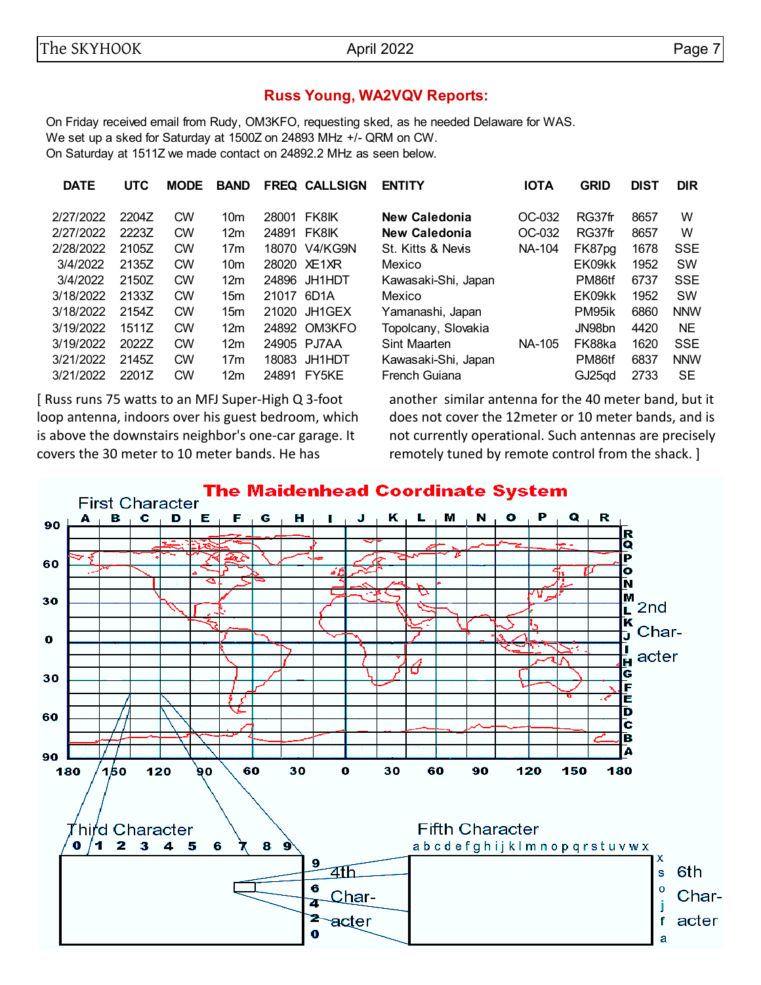#### **Russ Young, WA2VQV Reports:**

On Friday received email from Rudy, OM3KFO, requesting sked, as he needed Delaware for WAS. We set up a sked for Saturday at 1500Z on 24893 MHz +/- QRM on CW. On Saturday at 1511Z we made contact on 24892.2 MHz as seen below.

| <b>DATE</b> | <b>UTC</b> | <b>MODE</b> | <b>BAND</b>     |       | <b>FREQ CALLSIGN</b> | <b>ENTITY</b>       | <b>IOTA</b> | <b>GRID</b> | <b>DIST</b> | <b>DIR</b> |
|-------------|------------|-------------|-----------------|-------|----------------------|---------------------|-------------|-------------|-------------|------------|
| 2/27/2022   | 2204Z      | <b>CW</b>   | 10 <sub>m</sub> | 28001 | <b>FK8IK</b>         | New Caledonia       | OC-032      | RG37fr      | 8657        | W          |
| 2/27/2022   | 2223Z      | <b>CW</b>   | 12 <sub>m</sub> | 24891 | <b>FK8IK</b>         | New Caledonia       | OC-032      | RG37fr      | 8657        | W          |
| 2/28/2022   | 2105Z      | <b>CW</b>   | 17 <sub>m</sub> | 18070 | V4/KG9N              | St. Kitts & Nevis   | NA-104      | FK87pg      | 1678        | <b>SSE</b> |
| 3/4/2022    | 2135Z      | <b>CW</b>   | 10 <sub>m</sub> |       | 28020 XE1XR          | Mexico              |             | EK09kk      | 1952        | <b>SW</b>  |
| 3/4/2022    | 2150Z      | <b>CW</b>   | 12 <sub>m</sub> | 24896 | JH1HDT               | Kawasaki-Shi, Japan |             | PM86tf      | 6737        | <b>SSE</b> |
| 3/18/2022   | 2133Z      | <b>CW</b>   | 15 <sub>m</sub> | 21017 | 6D1A                 | Mexico              |             | EK09kk      | 1952        | <b>SW</b>  |
| 3/18/2022   | 2154Z      | <b>CW</b>   | 15 <sub>m</sub> | 21020 | JH1GEX               | Yamanashi, Japan    |             | PM95ik      | 6860        | <b>NNW</b> |
| 3/19/2022   | 1511Z      | <b>CW</b>   | 12 <sub>m</sub> | 24892 | OM3KFO               | Topolcany, Slovakia |             | JN98bn      | 4420        | <b>NE</b>  |
| 3/19/2022   | 2022Z      | <b>CW</b>   | 12 <sub>m</sub> |       | 24905 PJ7AA          | Sint Maarten        | NA-105      | FK88ka      | 1620        | <b>SSE</b> |
| 3/21/2022   | 2145Z      | <b>CW</b>   | 17 <sub>m</sub> | 18083 | <b>JH1HDT</b>        | Kawasaki-Shi, Japan |             | PM86tf      | 6837        | <b>NNW</b> |
| 3/21/2022   | 2201Z      | <b>CW</b>   | 12 <sub>m</sub> | 24891 | FY5KE                | French Guiana       |             | GJ25qd      | 2733        | <b>SE</b>  |
|             |            |             |                 |       |                      |                     |             |             |             |            |

[ Russ runs 75 watts to an MFJ Super-High Q 3-foot loop antenna, indoors over his guest bedroom, which is above the downstairs neighbor's one-car garage. It covers the 30 meter to 10 meter bands. He has

another similar antenna for the 40 meter band, but it does not cover the 12meter or 10 meter bands, and is not currently operational. Such antennas are precisely remotely tuned by remote control from the shack. ]